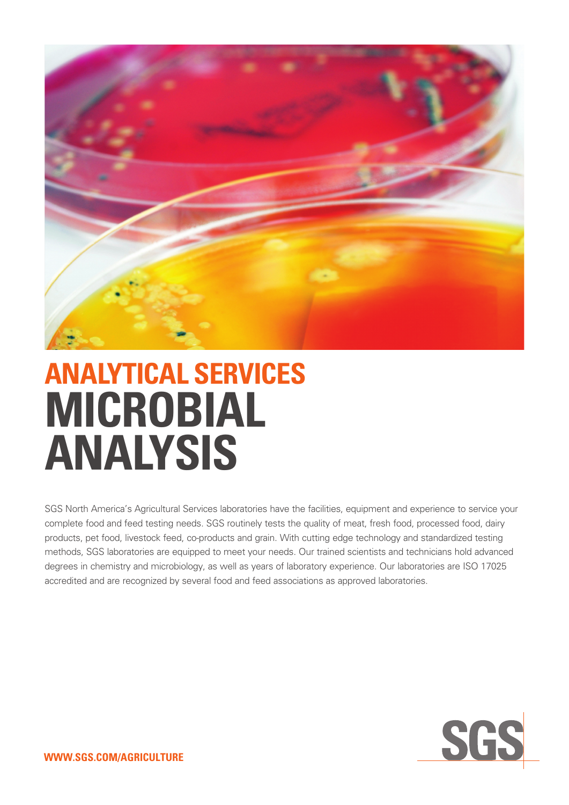

# **ANALYTICAL SERVICES MICROBIAL ANALYSIS**

SGS North America's Agricultural Services laboratories have the facilities, equipment and experience to service your complete food and feed testing needs. SGS routinely tests the quality of meat, fresh food, processed food, dairy products, pet food, livestock feed, co-products and grain. With cutting edge technology and standardized testing methods, SGS laboratories are equipped to meet your needs. Our trained scientists and technicians hold advanced degrees in chemistry and microbiology, as well as years of laboratory experience. Our laboratories are ISO 17025 accredited and are recognized by several food and feed associations as approved laboratories.